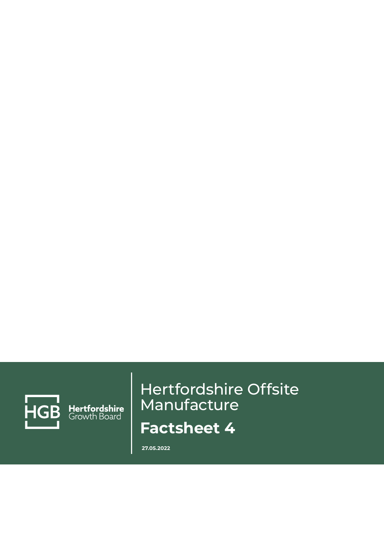

Hertfordshire<br>Growth Board

# Hertfordshire Offsite Manufacture **Factsheet 4**

**27.05.2022**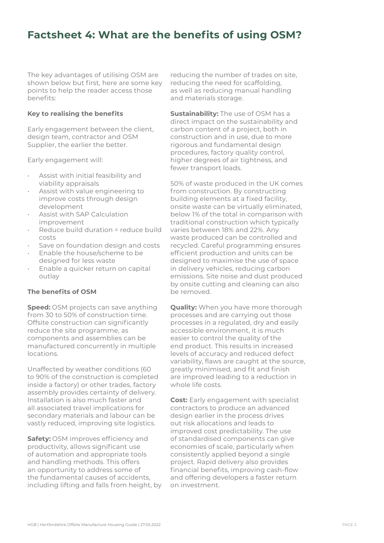## **Factsheet 4: What are the benefits of using OSM?**

The key advantages of utilising OSM are shown below but first, here are some key points to help the reader access those benefits:

### **Key to realising the benefits**

Early engagement between the client, design team, contractor and OSM Supplier, the earlier the better.

Early engagement will:

- Assist with initial feasibility and viability appraisals
- Assist with value engineering to improve costs through design development
- Assist with SAP Calculation improvement
- Reduce build duration = reduce build costs
- Save on foundation design and costs
- Enable the house/scheme to be designed for less waste
- Enable a quicker return on capital outlay

## **The benefits of OSM**

**Speed:** OSM projects can save anything from 30 to 50% of construction time. Offsite construction can significantly reduce the site programme, as components and assemblies can be manufactured concurrently in multiple locations.

Unaffected by weather conditions (60 to 90% of the construction is completed inside a factory) or other trades, factory assembly provides certainty of delivery. Installation is also much faster and all associated travel implications for secondary materials and labour can be vastly reduced, improving site logistics.

**Safety:** OSM improves efficiency and productivity, allows significant use of automation and appropriate tools and handling methods. This offers an opportunity to address some of the fundamental causes of accidents, including lifting and falls from height, by reducing the number of trades on site, reducing the need for scaffolding, as well as reducing manual handling and materials storage.

**Sustainability**: The use of OSM has a direct impact on the sustainability and carbon content of a project, both in construction and in use, due to more rigorous and fundamental design procedures, factory quality control, higher degrees of air tightness, and fewer transport loads.

50% of waste produced in the UK comes from construction. By constructing building elements at a fixed facility, onsite waste can be virtually eliminated, below 1% of the total in comparison with traditional construction which typically varies between 18% and 22%. Any waste produced can be controlled and recycled. Careful programming ensures efficient production and units can be designed to maximise the use of space in delivery vehicles, reducing carbon emissions. Site noise and dust produced by onsite cutting and cleaning can also be removed.

**Quality:** When you have more thorough processes and are carrying out those processes in a regulated, dry and easily accessible environment, it is much easier to control the quality of the end product. This results in increased levels of accuracy and reduced defect variability, flaws are caught at the source, greatly minimised, and fit and finish are improved leading to a reduction in whole life costs.

**Cost:** Early engagement with specialist contractors to produce an advanced design earlier in the process drives out risk allocations and leads to improved cost predictability. The use of standardised components can give economies of scale, particularly when consistently applied beyond a single project. Rapid delivery also provides financial benefits, improving cash-flow and offering developers a faster return on investment.